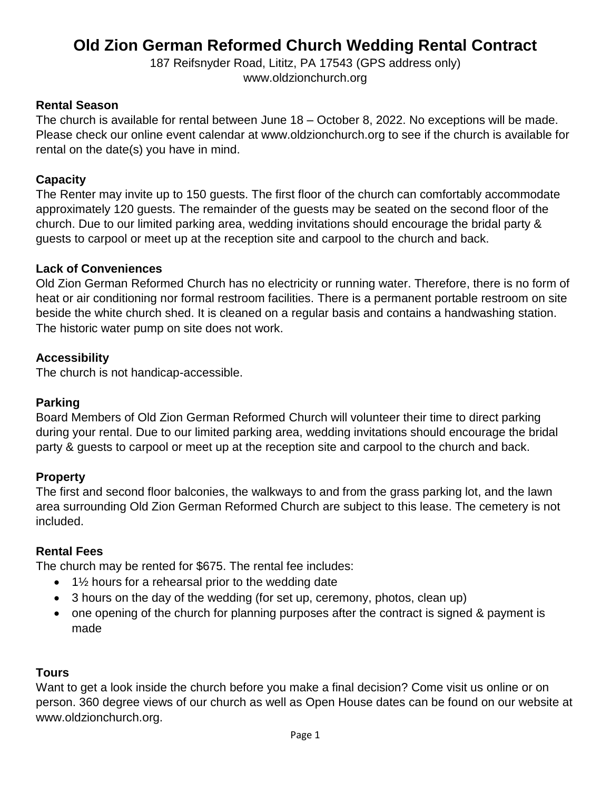187 Reifsnyder Road, Lititz, PA 17543 (GPS address only) [www.oldzionchurch.org](http://www.oldzionchurch.org/)

### **Rental Season**

The church is available for rental between June 18 – October 8, 2022. No exceptions will be made. Please check our online event calendar at www.oldzionchurch.org to see if the church is available for rental on the date(s) you have in mind.

### **Capacity**

The Renter may invite up to 150 guests. The first floor of the church can comfortably accommodate approximately 120 guests. The remainder of the guests may be seated on the second floor of the church. Due to our limited parking area, wedding invitations should encourage the bridal party & guests to carpool or meet up at the reception site and carpool to the church and back.

### **Lack of Conveniences**

Old Zion German Reformed Church has no electricity or running water. Therefore, there is no form of heat or air conditioning nor formal restroom facilities. There is a permanent portable restroom on site beside the white church shed. It is cleaned on a regular basis and contains a handwashing station. The historic water pump on site does not work.

### **Accessibility**

The church is not handicap-accessible.

### **Parking**

Board Members of Old Zion German Reformed Church will volunteer their time to direct parking during your rental. Due to our limited parking area, wedding invitations should encourage the bridal party & guests to carpool or meet up at the reception site and carpool to the church and back.

# **Property**

The first and second floor balconies, the walkways to and from the grass parking lot, and the lawn area surrounding Old Zion German Reformed Church are subject to this lease. The cemetery is not included.

### **Rental Fees**

The church may be rented for \$675. The rental fee includes:

- $\bullet$  1½ hours for a rehearsal prior to the wedding date
- 3 hours on the day of the wedding (for set up, ceremony, photos, clean up)
- one opening of the church for planning purposes after the contract is signed & payment is made

### **Tours**

Want to get a look inside the church before you make a final decision? Come visit us online or on person. 360 degree views of our church as well as Open House dates can be found on our website at [www.oldzionchurch.org.](http://www.oldzionchurch.org/)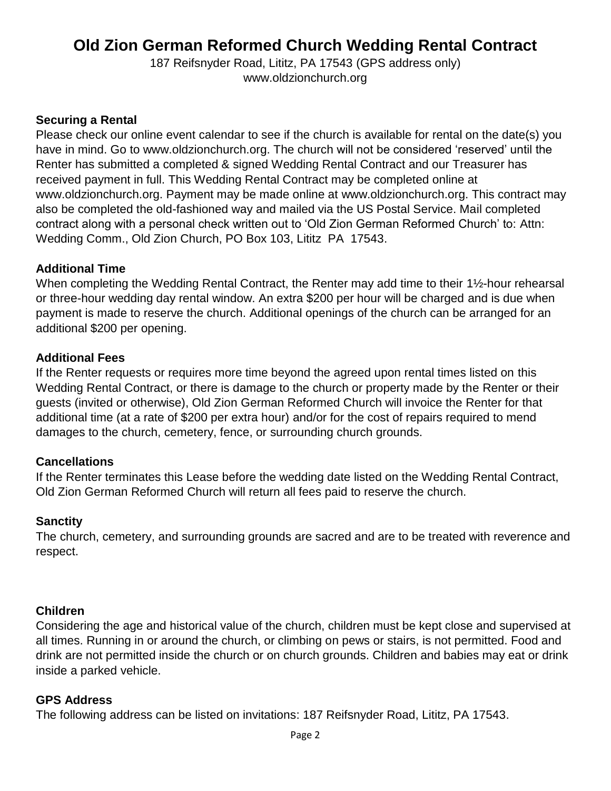187 Reifsnyder Road, Lititz, PA 17543 (GPS address only) [www.oldzionchurch.org](http://www.oldzionchurch.org/)

### **Securing a Rental**

Please check our online event calendar to see if the church is available for rental on the date(s) you have in mind. Go to [www.oldzionchurch.org.](http://www.oldzionchurch.org/) The church will not be considered 'reserved' until the Renter has submitted a completed & signed Wedding Rental Contract and our Treasurer has received payment in full. This Wedding Rental Contract may be completed online at [www.oldzionchurch.org.](http://www.oldzionchurch.org/) Payment may be made online at [www.oldzionchurch.org.](http://www.oldzionchurch.org/) This contract may also be completed the old-fashioned way and mailed via the US Postal Service. Mail completed contract along with a personal check written out to 'Old Zion German Reformed Church' to: Attn: Wedding Comm., Old Zion Church, PO Box 103, Lititz PA 17543.

### **Additional Time**

When completing the Wedding Rental Contract, the Renter may add time to their 1½-hour rehearsal or three-hour wedding day rental window. An extra \$200 per hour will be charged and is due when payment is made to reserve the church. Additional openings of the church can be arranged for an additional \$200 per opening.

#### **Additional Fees**

If the Renter requests or requires more time beyond the agreed upon rental times listed on this Wedding Rental Contract, or there is damage to the church or property made by the Renter or their guests (invited or otherwise), Old Zion German Reformed Church will invoice the Renter for that additional time (at a rate of \$200 per extra hour) and/or for the cost of repairs required to mend damages to the church, cemetery, fence, or surrounding church grounds.

#### **Cancellations**

If the Renter terminates this Lease before the wedding date listed on the Wedding Rental Contract, Old Zion German Reformed Church will return all fees paid to reserve the church.

#### **Sanctity**

The church, cemetery, and surrounding grounds are sacred and are to be treated with reverence and respect.

#### **Children**

Considering the age and historical value of the church, children must be kept close and supervised at all times. Running in or around the church, or climbing on pews or stairs, is not permitted. Food and drink are not permitted inside the church or on church grounds. Children and babies may eat or drink inside a parked vehicle.

#### **GPS Address**

The following address can be listed on invitations: 187 Reifsnyder Road, Lititz, PA 17543.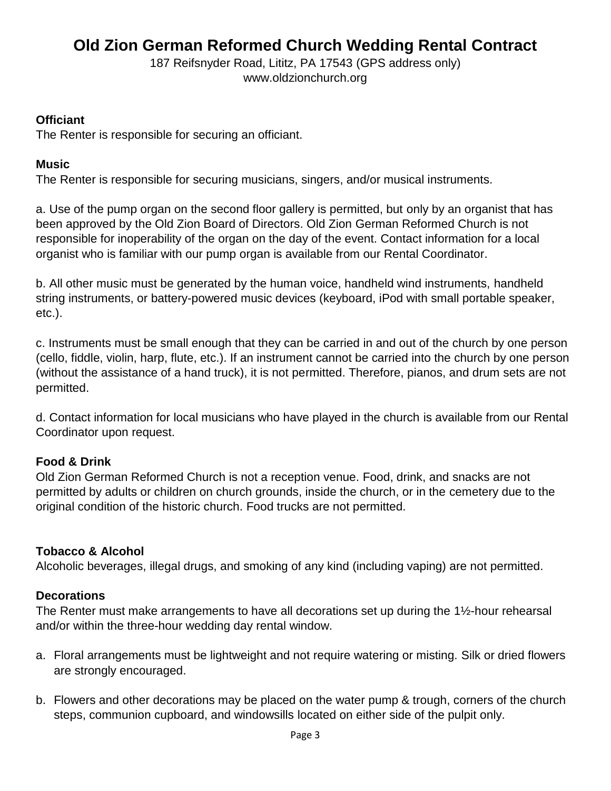187 Reifsnyder Road, Lititz, PA 17543 (GPS address only) [www.oldzionchurch.org](http://www.oldzionchurch.org/)

### **Officiant**

The Renter is responsible for securing an officiant.

# **Music**

The Renter is responsible for securing musicians, singers, and/or musical instruments.

a. Use of the pump organ on the second floor gallery is permitted, but only by an organist that has been approved by the Old Zion Board of Directors. Old Zion German Reformed Church is not responsible for inoperability of the organ on the day of the event. Contact information for a local organist who is familiar with our pump organ is available from our Rental Coordinator.

b. All other music must be generated by the human voice, handheld wind instruments, handheld string instruments, or battery-powered music devices (keyboard, iPod with small portable speaker, etc.).

c. Instruments must be small enough that they can be carried in and out of the church by one person (cello, fiddle, violin, harp, flute, etc.). If an instrument cannot be carried into the church by one person (without the assistance of a hand truck), it is not permitted. Therefore, pianos, and drum sets are not permitted.

d. Contact information for local musicians who have played in the church is available from our Rental Coordinator upon request.

# **Food & Drink**

Old Zion German Reformed Church is not a reception venue. Food, drink, and snacks are not permitted by adults or children on church grounds, inside the church, or in the cemetery due to the original condition of the historic church. Food trucks are not permitted.

# **Tobacco & Alcohol**

Alcoholic beverages, illegal drugs, and smoking of any kind (including vaping) are not permitted.

# **Decorations**

The Renter must make arrangements to have all decorations set up during the 1½-hour rehearsal and/or within the three-hour wedding day rental window.

- a. Floral arrangements must be lightweight and not require watering or misting. Silk or dried flowers are strongly encouraged.
- b. Flowers and other decorations may be placed on the water pump & trough, corners of the church steps, communion cupboard, and windowsills located on either side of the pulpit only.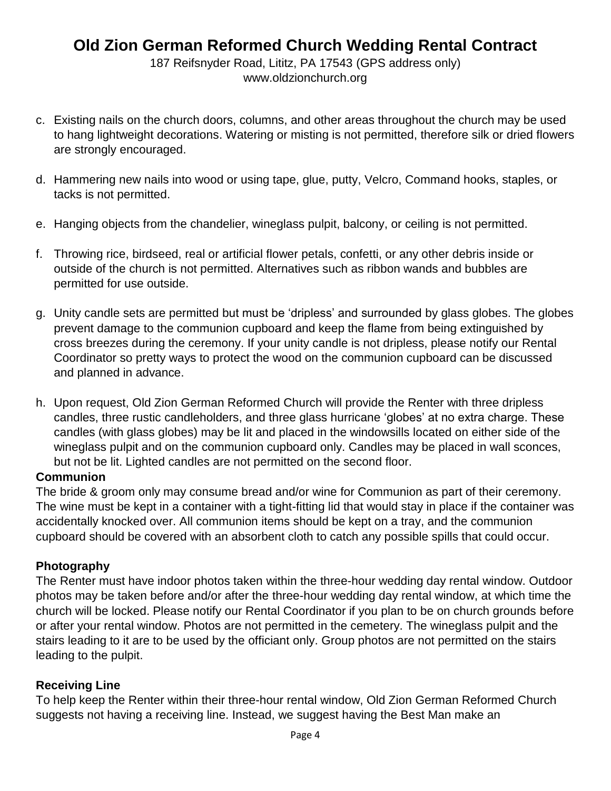187 Reifsnyder Road, Lititz, PA 17543 (GPS address only) [www.oldzionchurch.org](http://www.oldzionchurch.org/)

- c. Existing nails on the church doors, columns, and other areas throughout the church may be used to hang lightweight decorations. Watering or misting is not permitted, therefore silk or dried flowers are strongly encouraged.
- d. Hammering new nails into wood or using tape, glue, putty, Velcro, Command hooks, staples, or tacks is not permitted.
- e. Hanging objects from the chandelier, wineglass pulpit, balcony, or ceiling is not permitted.
- f. Throwing rice, birdseed, real or artificial flower petals, confetti, or any other debris inside or outside of the church is not permitted. Alternatives such as ribbon wands and bubbles are permitted for use outside.
- g. Unity candle sets are permitted but must be 'dripless' and surrounded by glass globes. The globes prevent damage to the communion cupboard and keep the flame from being extinguished by cross breezes during the ceremony. If your unity candle is not dripless, please notify our Rental Coordinator so pretty ways to protect the wood on the communion cupboard can be discussed and planned in advance.
- h. Upon request, Old Zion German Reformed Church will provide the Renter with three dripless candles, three rustic candleholders, and three glass hurricane 'globes' at no extra charge. These candles (with glass globes) may be lit and placed in the windowsills located on either side of the wineglass pulpit and on the communion cupboard only. Candles may be placed in wall sconces, but not be lit. Lighted candles are not permitted on the second floor.

### **Communion**

The bride & groom only may consume bread and/or wine for Communion as part of their ceremony. The wine must be kept in a container with a tight-fitting lid that would stay in place if the container was accidentally knocked over. All communion items should be kept on a tray, and the communion cupboard should be covered with an absorbent cloth to catch any possible spills that could occur.

# **Photography**

The Renter must have indoor photos taken within the three-hour wedding day rental window. Outdoor photos may be taken before and/or after the three-hour wedding day rental window, at which time the church will be locked. Please notify our Rental Coordinator if you plan to be on church grounds before or after your rental window. Photos are not permitted in the cemetery. The wineglass pulpit and the stairs leading to it are to be used by the officiant only. Group photos are not permitted on the stairs leading to the pulpit.

### **Receiving Line**

To help keep the Renter within their three-hour rental window, Old Zion German Reformed Church suggests not having a receiving line. Instead, we suggest having the Best Man make an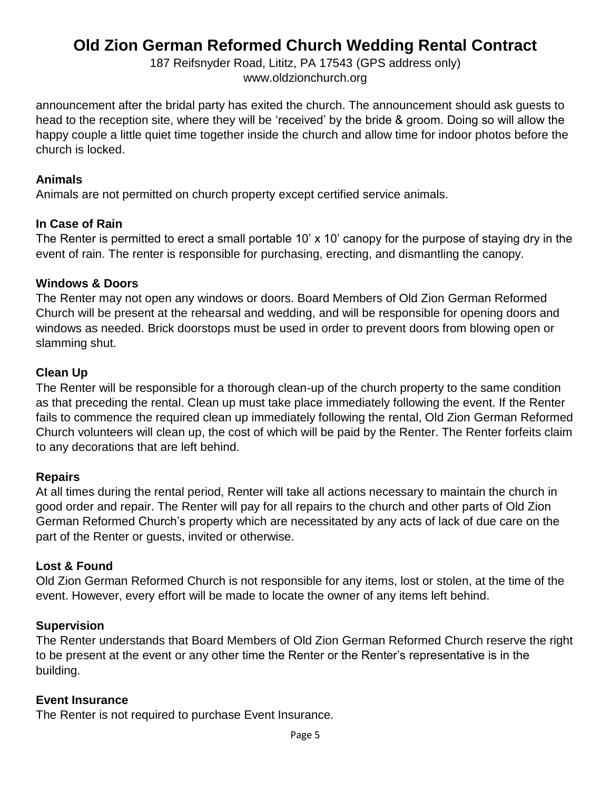187 Reifsnyder Road, Lititz, PA 17543 (GPS address only) [www.oldzionchurch.org](http://www.oldzionchurch.org/)

announcement after the bridal party has exited the church. The announcement should ask guests to head to the reception site, where they will be 'received' by the bride & groom. Doing so will allow the happy couple a little quiet time together inside the church and allow time for indoor photos before the church is locked.

### **Animals**

Animals are not permitted on church property except certified service animals.

# **In Case of Rain**

The Renter is permitted to erect a small portable 10' x 10' canopy for the purpose of staying dry in the event of rain. The renter is responsible for purchasing, erecting, and dismantling the canopy.

# **Windows & Doors**

The Renter may not open any windows or doors. Board Members of Old Zion German Reformed Church will be present at the rehearsal and wedding, and will be responsible for opening doors and windows as needed. Brick doorstops must be used in order to prevent doors from blowing open or slamming shut.

# **Clean Up**

The Renter will be responsible for a thorough clean-up of the church property to the same condition as that preceding the rental. Clean up must take place immediately following the event. If the Renter fails to commence the required clean up immediately following the rental, Old Zion German Reformed Church volunteers will clean up, the cost of which will be paid by the Renter. The Renter forfeits claim to any decorations that are left behind.

# **Repairs**

At all times during the rental period, Renter will take all actions necessary to maintain the church in good order and repair. The Renter will pay for all repairs to the church and other parts of Old Zion German Reformed Church's property which are necessitated by any acts of lack of due care on the part of the Renter or guests, invited or otherwise.

# **Lost & Found**

Old Zion German Reformed Church is not responsible for any items, lost or stolen, at the time of the event. However, every effort will be made to locate the owner of any items left behind.

# **Supervision**

The Renter understands that Board Members of Old Zion German Reformed Church reserve the right to be present at the event or any other time the Renter or the Renter's representative is in the building.

# **Event Insurance**

The Renter is not required to purchase Event Insurance.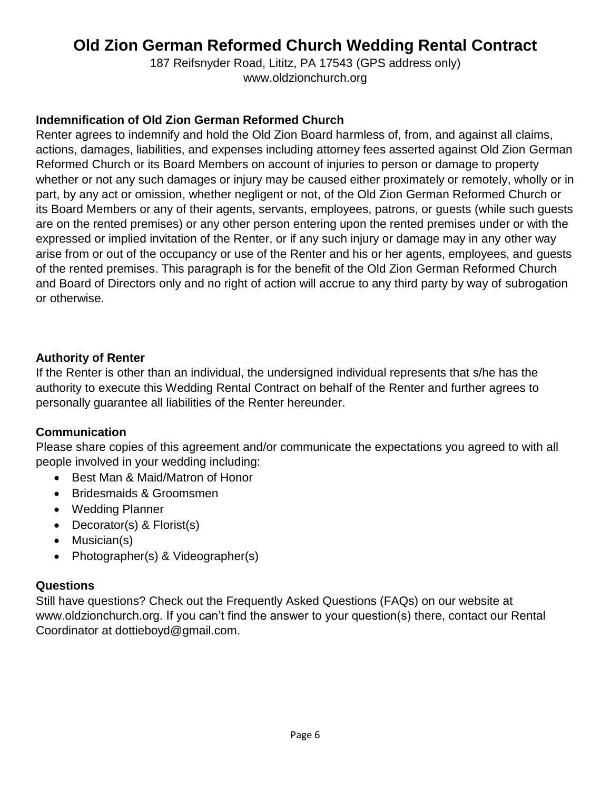187 Reifsnyder Road, Lititz, PA 17543 (GPS address only) [www.oldzionchurch.org](http://www.oldzionchurch.org/)

### **Indemnification of Old Zion German Reformed Church**

Renter agrees to indemnify and hold the Old Zion Board harmless of, from, and against all claims, actions, damages, liabilities, and expenses including attorney fees asserted against Old Zion German Reformed Church or its Board Members on account of injuries to person or damage to property whether or not any such damages or injury may be caused either proximately or remotely, wholly or in part, by any act or omission, whether negligent or not, of the Old Zion German Reformed Church or its Board Members or any of their agents, servants, employees, patrons, or guests (while such guests are on the rented premises) or any other person entering upon the rented premises under or with the expressed or implied invitation of the Renter, or if any such injury or damage may in any other way arise from or out of the occupancy or use of the Renter and his or her agents, employees, and guests of the rented premises. This paragraph is for the benefit of the Old Zion German Reformed Church and Board of Directors only and no right of action will accrue to any third party by way of subrogation or otherwise.

### **Authority of Renter**

If the Renter is other than an individual, the undersigned individual represents that s/he has the authority to execute this Wedding Rental Contract on behalf of the Renter and further agrees to personally guarantee all liabilities of the Renter hereunder.

# **Communication**

Please share copies of this agreement and/or communicate the expectations you agreed to with all people involved in your wedding including:

- Best Man & Maid/Matron of Honor
- Bridesmaids & Groomsmen
- Wedding Planner
- Decorator(s) & Florist(s)
- Musician(s)
- Photographer(s) & Videographer(s)

# **Questions**

Still have questions? Check out the Frequently Asked Questions (FAQs) on our website at [www.oldzionchurch.org.](http://www.oldzionchurch.org/) If you can't find the answer to your question(s) there, contact our Rental Coordinator at dottieboyd@gmail.com.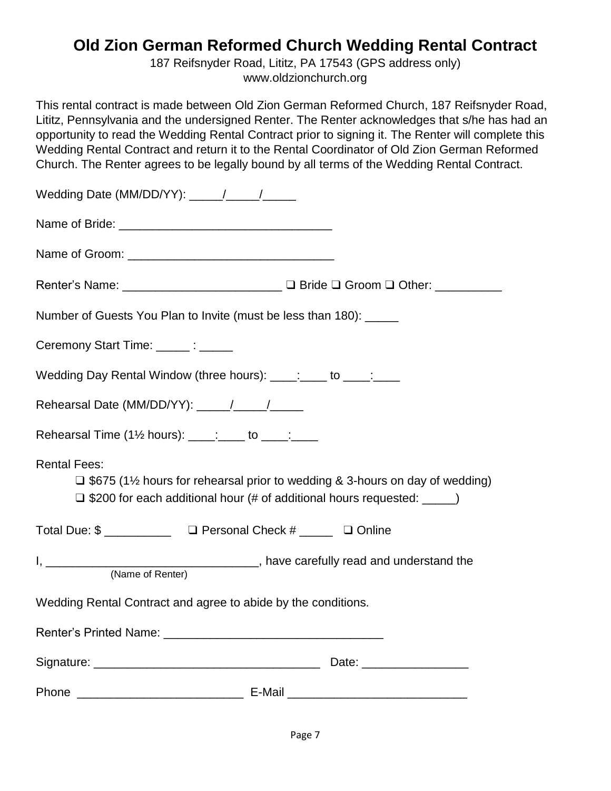187 Reifsnyder Road, Lititz, PA 17543 (GPS address only) [www.oldzionchurch.org](http://www.oldzionchurch.org/)

This rental contract is made between Old Zion German Reformed Church, 187 Reifsnyder Road, Lititz, Pennsylvania and the undersigned Renter. The Renter acknowledges that s/he has had an opportunity to read the Wedding Rental Contract prior to signing it. The Renter will complete this Wedding Rental Contract and return it to the Rental Coordinator of Old Zion German Reformed Church. The Renter agrees to be legally bound by all terms of the Wedding Rental Contract.

| Renter's Name: __________________________ □ Bride □ Groom □ Other: ____________                                                                                                             |
|---------------------------------------------------------------------------------------------------------------------------------------------------------------------------------------------|
| Number of Guests You Plan to Invite (must be less than 180): _____                                                                                                                          |
| Ceremony Start Time: ______: ______                                                                                                                                                         |
| Wedding Day Rental Window (three hours): ____: ___ to ____: ___                                                                                                                             |
| Rehearsal Date (MM/DD/YY): ____/___/____/                                                                                                                                                   |
| Rehearsal Time (1 <sup>1/2</sup> hours): ____: ____ to ____: ____                                                                                                                           |
| <b>Rental Fees:</b><br>$\Box$ \$675 (1½ hours for rehearsal prior to wedding & 3-hours on day of wedding)<br>$\Box$ \$200 for each additional hour (# of additional hours requested: _____) |
| Total Due: \$ _______________ □ Personal Check # ______ □ Online                                                                                                                            |
| (Name of Renter)                                                                                                                                                                            |
| Wedding Rental Contract and agree to abide by the conditions.                                                                                                                               |
|                                                                                                                                                                                             |
|                                                                                                                                                                                             |
|                                                                                                                                                                                             |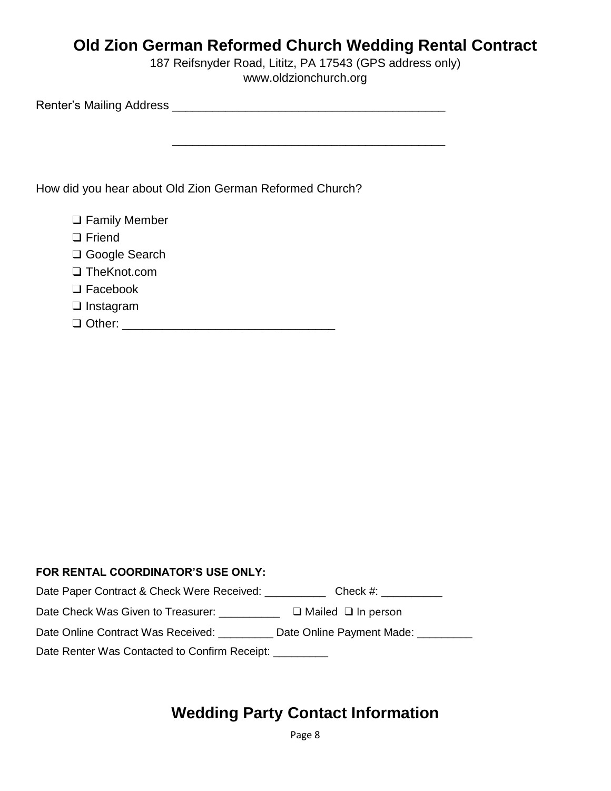187 Reifsnyder Road, Lititz, PA 17543 (GPS address only) [www.oldzionchurch.org](http://www.oldzionchurch.org/)

Renter's Mailing Address \_\_\_\_\_\_\_\_\_\_\_\_\_\_\_\_\_\_\_\_\_\_\_\_\_\_\_\_\_\_\_\_\_\_\_\_\_\_\_\_\_

How did you hear about Old Zion German Reformed Church?

| $\Box$ Family Member |  |
|----------------------|--|
| $\Box$ Friend        |  |
| □ Google Search      |  |
| $\Box$ The Knot.com  |  |
| $\Box$ Facebook      |  |
| $\Box$ Instagram     |  |
| $\Box$ Other:        |  |

### **FOR RENTAL COORDINATOR'S USE ONLY:**

| Date Paper Contract & Check Were Received: _________ | Check #:                       |
|------------------------------------------------------|--------------------------------|
| Date Check Was Given to Treasurer:                   | $\Box$ Mailed $\Box$ In person |
| Date Online Contract Was Received: __                | Date Online Payment Made:      |
| Date Renter Was Contacted to Confirm Receipt:        |                                |

# **Wedding Party Contact Information**

Page 8